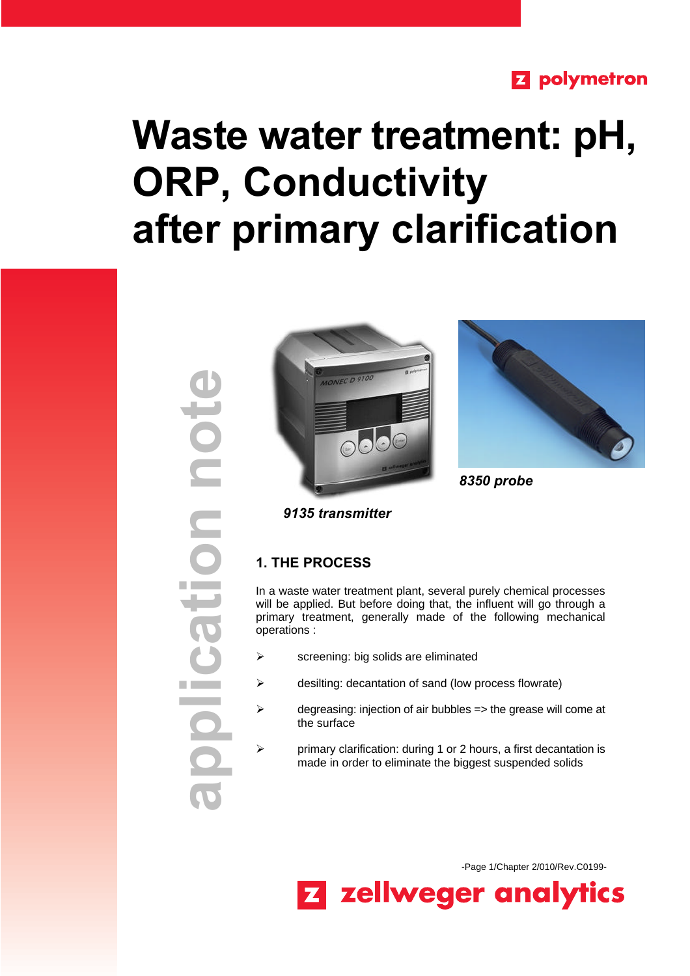# **Z** polymetron

# **Waste water treatment: pH, ORP, Conductivity after primary clarification**







 *8350 probe*

 *9135 transmitter*

# **1. THE PROCESS**

In a waste water treatment plant, several purely chemical processes will be applied. But before doing that, the influent will go through a primary treatment, generally made of the following mechanical operations :

- $\triangleright$  screening: big solids are eliminated
- $\triangleright$  desilting: decantation of sand (low process flowrate)
- $\triangleright$  degreasing: injection of air bubbles => the grease will come at the surface
- $\triangleright$  primary clarification: during 1 or 2 hours, a first decantation is made in order to eliminate the biggest suspended solids

-Page 1/Chapter 2/010/Rev.C0199-

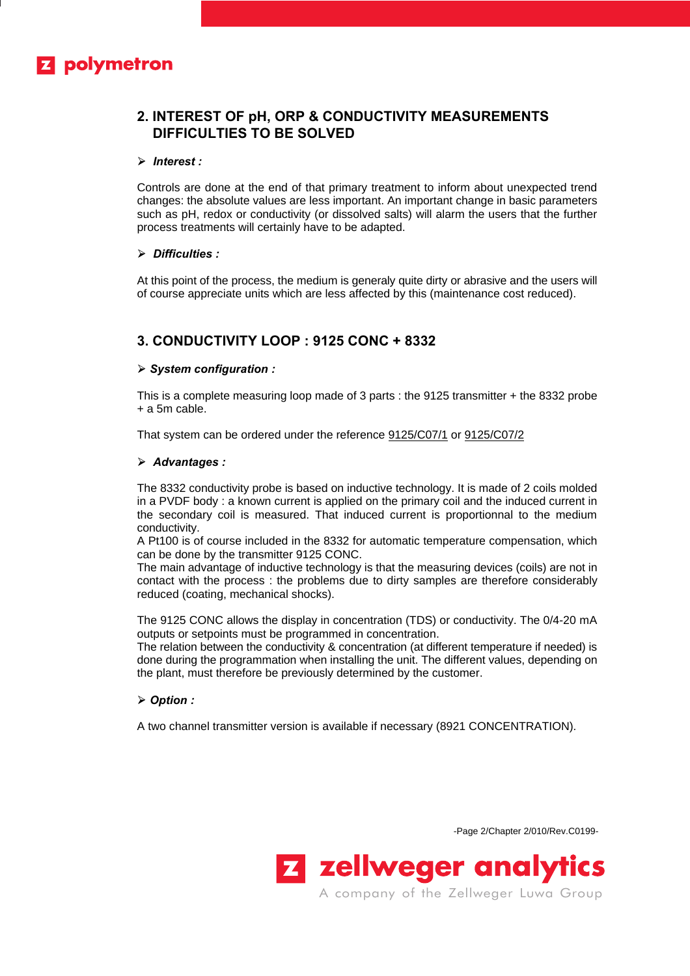# **Z** polymetron

# **2. INTEREST OF pH, ORP & CONDUCTIVITY MEASUREMENTS DIFFICULTIES TO BE SOLVED**

#### **ÿ** *Interest :*

Controls are done at the end of that primary treatment to inform about unexpected trend changes: the absolute values are less important. An important change in basic parameters such as pH, redox or conductivity (or dissolved salts) will alarm the users that the further process treatments will certainly have to be adapted.

#### **ÿ** *Difficulties :*

At this point of the process, the medium is generaly quite dirty or abrasive and the users will of course appreciate units which are less affected by this (maintenance cost reduced).

## **3. CONDUCTIVITY LOOP : 9125 CONC + 8332**

#### **ÿ** *System configuration :*

This is a complete measuring loop made of 3 parts : the 9125 transmitter + the 8332 probe + a 5m cable.

That system can be ordered under the reference 9125/C07/1 or 9125/C07/2

#### **ÿ** *Advantages :*

The 8332 conductivity probe is based on inductive technology. It is made of 2 coils molded in a PVDF body : a known current is applied on the primary coil and the induced current in the secondary coil is measured. That induced current is proportionnal to the medium conductivity.

A Pt100 is of course included in the 8332 for automatic temperature compensation, which can be done by the transmitter 9125 CONC.

The main advantage of inductive technology is that the measuring devices (coils) are not in contact with the process : the problems due to dirty samples are therefore considerably reduced (coating, mechanical shocks).

The 9125 CONC allows the display in concentration (TDS) or conductivity. The 0/4-20 mA outputs or setpoints must be programmed in concentration.

The relation between the conductivity & concentration (at different temperature if needed) is done during the programmation when installing the unit. The different values, depending on the plant, must therefore be previously determined by the customer.

#### **ÿ** *Option :*

A two channel transmitter version is available if necessary (8921 CONCENTRATION)*.*

-Page 2/Chapter 2/010/Rev.C0199-

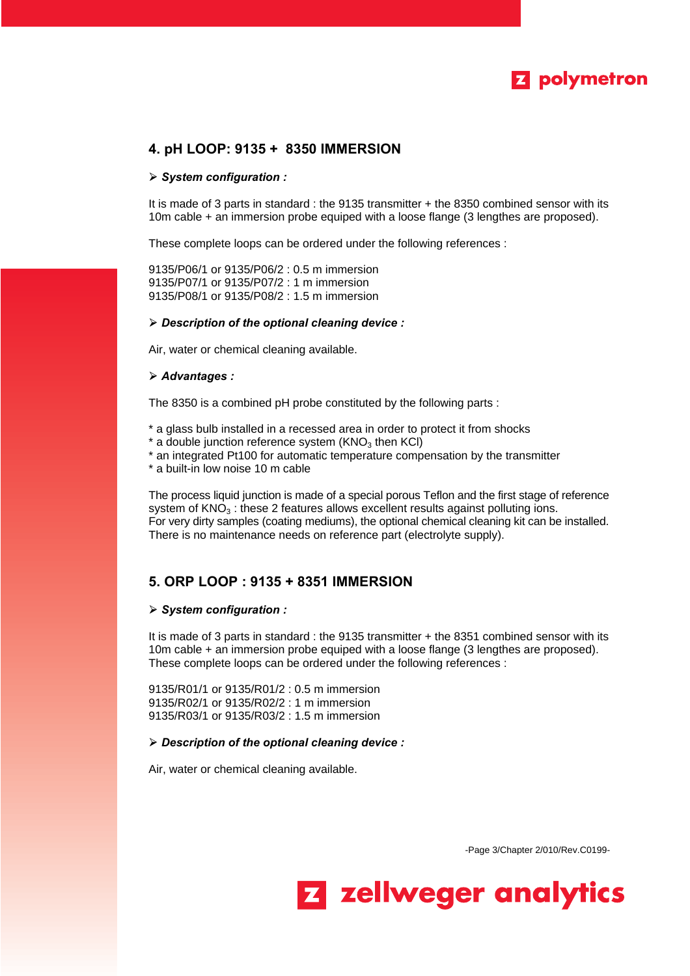

## **4. pH LOOP: 9135 + 8350 IMMERSION**

#### **ÿ** *System configuration :*

It is made of 3 parts in standard : the 9135 transmitter + the 8350 combined sensor with its 10m cable + an immersion probe equiped with a loose flange (3 lengthes are proposed).

These complete loops can be ordered under the following references :

9135/P06/1 or 9135/P06/2 : 0.5 m immersion 9135/P07/1 or 9135/P07/2 : 1 m immersion 9135/P08/1 or 9135/P08/2 : 1.5 m immersion

#### **ÿ** *Description of the optional cleaning device :*

Air, water or chemical cleaning available.

#### **ÿ** *Advantages :*

The 8350 is a combined pH probe constituted by the following parts :

- \* a glass bulb installed in a recessed area in order to protect it from shocks
- $*$  a double junction reference system (KNO<sub>3</sub> then KCI)
- \* an integrated Pt100 for automatic temperature compensation by the transmitter
- \* a built-in low noise 10 m cable

The process liquid junction is made of a special porous Teflon and the first stage of reference system of  $KNO<sub>3</sub>$ : these 2 features allows excellent results against polluting ions. For very dirty samples (coating mediums), the optional chemical cleaning kit can be installed. There is no maintenance needs on reference part (electrolyte supply).

# **5. ORP LOOP : 9135 + 8351 IMMERSION**

#### **ÿ** *System configuration :*

It is made of 3 parts in standard : the 9135 transmitter + the 8351 combined sensor with its 10m cable + an immersion probe equiped with a loose flange (3 lengthes are proposed). These complete loops can be ordered under the following references :

9135/R01/1 or 9135/R01/2 : 0.5 m immersion 9135/R02/1 or 9135/R02/2 : 1 m immersion 9135/R03/1 or 9135/R03/2 : 1.5 m immersion

#### **ÿ** *Description of the optional cleaning device :*

Air, water or chemical cleaning available.

-Page 3/Chapter 2/010/Rev.C0199-